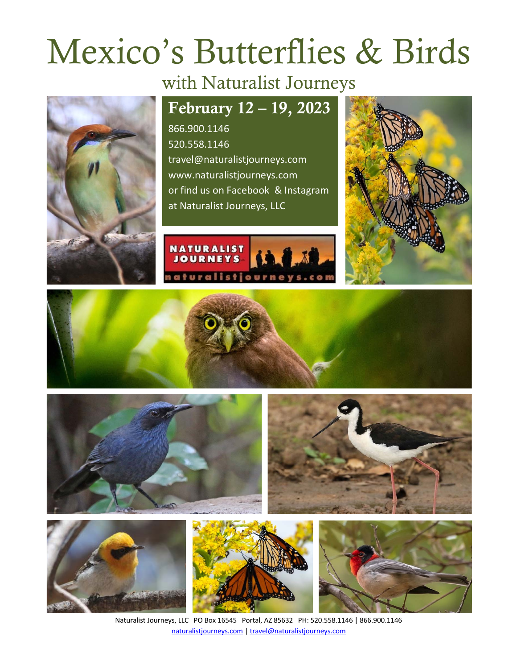# Mexico's Butterflies & Birds

# with Naturalist Journeys

## February 12 – 19, 2023

866.900.1146 520.558.1146 travel@naturalistjourneys.com www.naturalistjourneys.com or find us on Facebook & Instagram at Naturalist Journeys, LLC















Naturalist Journeys, LLC PO Box 16545 Portal, AZ 85632 PH: 520.558.1146 | 866.900.1146 naturalistjourneys.com | travel@naturalistjourneys.com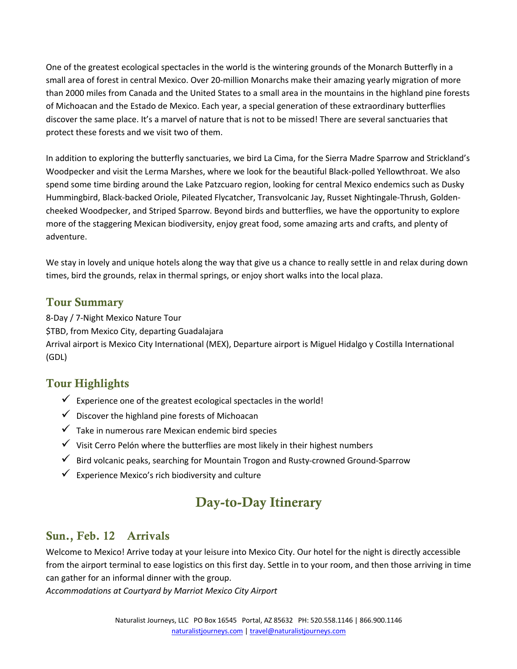One of the greatest ecological spectacles in the world is the wintering grounds of the Monarch Butterfly in a small area of forest in central Mexico. Over 20-million Monarchs make their amazing yearly migration of more than 2000 miles from Canada and the United States to a small area in the mountains in the highland pine forests of Michoacan and the Estado de Mexico. Each year, a special generation of these extraordinary butterflies discover the same place. It's a marvel of nature that is not to be missed! There are several sanctuaries that protect these forests and we visit two of them.

In addition to exploring the butterfly sanctuaries, we bird La Cima, for the Sierra Madre Sparrow and Strickland's Woodpecker and visit the Lerma Marshes, where we look for the beautiful Black-polled Yellowthroat. We also spend some time birding around the Lake Patzcuaro region, looking for central Mexico endemics such as Dusky Hummingbird, Black-backed Oriole, Pileated Flycatcher, Transvolcanic Jay, Russet Nightingale-Thrush, Goldencheeked Woodpecker, and Striped Sparrow. Beyond birds and butterflies, we have the opportunity to explore more of the staggering Mexican biodiversity, enjoy great food, some amazing arts and crafts, and plenty of adventure.

We stay in lovely and unique hotels along the way that give us a chance to really settle in and relax during down times, bird the grounds, relax in thermal springs, or enjoy short walks into the local plaza.

#### Tour Summary

8-Day / 7-Night Mexico Nature Tour \$TBD, from Mexico City, departing Guadalajara Arrival airport is Mexico City International (MEX), Departure airport is Miguel Hidalgo y Costilla International (GDL)

#### Tour Highlights

- $\checkmark$  Experience one of the greatest ecological spectacles in the world!
- $\checkmark$  Discover the highland pine forests of Michoacan
- $\checkmark$  Take in numerous rare Mexican endemic bird species
- $\checkmark$  Visit Cerro Pelón where the butterflies are most likely in their highest numbers
- $\checkmark$  Bird volcanic peaks, searching for Mountain Trogon and Rusty-crowned Ground-Sparrow
- Experience Mexico's rich biodiversity and culture

### Day-to-Day Itinerary

#### Sun., Feb. 12 Arrivals

Welcome to Mexico! Arrive today at your leisure into Mexico City. Our hotel for the night is directly accessible from the airport terminal to ease logistics on this first day. Settle in to your room, and then those arriving in time can gather for an informal dinner with the group.

*Accommodations at Courtyard by Marriot Mexico City Airport*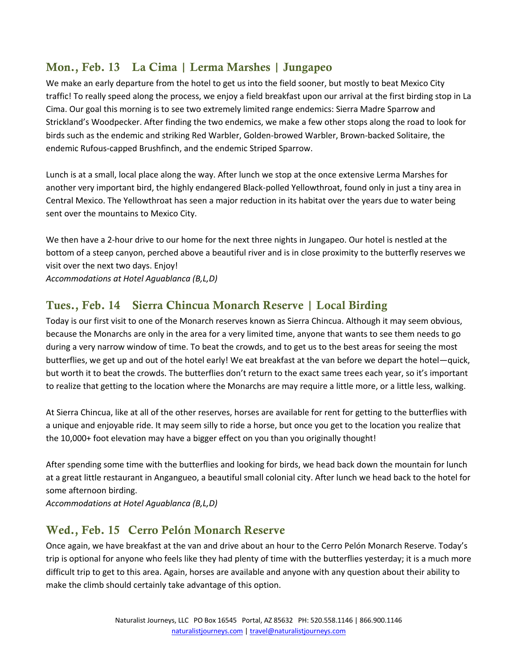#### Mon., Feb. 13 La Cima | Lerma Marshes | Jungapeo

We make an early departure from the hotel to get us into the field sooner, but mostly to beat Mexico City traffic! To really speed along the process, we enjoy a field breakfast upon our arrival at the first birding stop in La Cima. Our goal this morning is to see two extremely limited range endemics: Sierra Madre Sparrow and Strickland's Woodpecker. After finding the two endemics, we make a few other stops along the road to look for birds such as the endemic and striking Red Warbler, Golden-browed Warbler, Brown-backed Solitaire, the endemic Rufous-capped Brushfinch, and the endemic Striped Sparrow.

Lunch is at a small, local place along the way. After lunch we stop at the once extensive Lerma Marshes for another very important bird, the highly endangered Black-polled Yellowthroat, found only in just a tiny area in Central Mexico. The Yellowthroat has seen a major reduction in its habitat over the years due to water being sent over the mountains to Mexico City.

We then have a 2-hour drive to our home for the next three nights in Jungapeo. Our hotel is nestled at the bottom of a steep canyon, perched above a beautiful river and is in close proximity to the butterfly reserves we visit over the next two days. Enjoy!

*Accommodations at Hotel Aguablanca (B,L,D)*

#### Tues., Feb. 14 Sierra Chincua Monarch Reserve | Local Birding

Today is our first visit to one of the Monarch reserves known as Sierra Chincua. Although it may seem obvious, because the Monarchs are only in the area for a very limited time, anyone that wants to see them needs to go during a very narrow window of time. To beat the crowds, and to get us to the best areas for seeing the most butterflies, we get up and out of the hotel early! We eat breakfast at the van before we depart the hotel—quick, but worth it to beat the crowds. The butterflies don't return to the exact same trees each year, so it's important to realize that getting to the location where the Monarchs are may require a little more, or a little less, walking.

At Sierra Chincua, like at all of the other reserves, horses are available for rent for getting to the butterflies with a unique and enjoyable ride. It may seem silly to ride a horse, but once you get to the location you realize that the 10,000+ foot elevation may have a bigger effect on you than you originally thought!

After spending some time with the butterflies and looking for birds, we head back down the mountain for lunch at a great little restaurant in Angangueo, a beautiful small colonial city. After lunch we head back to the hotel for some afternoon birding.

*Accommodations at Hotel Aguablanca (B,L,D)*

#### Wed., Feb. 15 Cerro Pelón Monarch Reserve

Once again, we have breakfast at the van and drive about an hour to the Cerro Pelón Monarch Reserve. Today's trip is optional for anyone who feels like they had plenty of time with the butterflies yesterday; it is a much more difficult trip to get to this area. Again, horses are available and anyone with any question about their ability to make the climb should certainly take advantage of this option.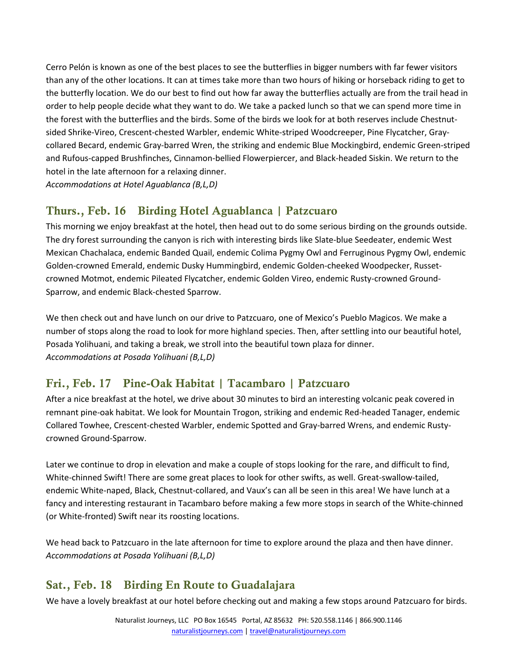Cerro Pelón is known as one of the best places to see the butterflies in bigger numbers with far fewer visitors than any of the other locations. It can at times take more than two hours of hiking or horseback riding to get to the butterfly location. We do our best to find out how far away the butterflies actually are from the trail head in order to help people decide what they want to do. We take a packed lunch so that we can spend more time in the forest with the butterflies and the birds. Some of the birds we look for at both reserves include Chestnutsided Shrike-Vireo, Crescent-chested Warbler, endemic White-striped Woodcreeper, Pine Flycatcher, Graycollared Becard, endemic Gray-barred Wren, the striking and endemic Blue Mockingbird, endemic Green-striped and Rufous-capped Brushfinches, Cinnamon-bellied Flowerpiercer, and Black-headed Siskin. We return to the hotel in the late afternoon for a relaxing dinner.

*Accommodations at Hotel Aguablanca (B,L,D)*

#### Thurs., Feb. 16 Birding Hotel Aguablanca | Patzcuaro

This morning we enjoy breakfast at the hotel, then head out to do some serious birding on the grounds outside. The dry forest surrounding the canyon is rich with interesting birds like Slate-blue Seedeater, endemic West Mexican Chachalaca, endemic Banded Quail, endemic Colima Pygmy Owl and Ferruginous Pygmy Owl, endemic Golden-crowned Emerald, endemic Dusky Hummingbird, endemic Golden-cheeked Woodpecker, Russetcrowned Motmot, endemic Pileated Flycatcher, endemic Golden Vireo, endemic Rusty-crowned Ground-Sparrow, and endemic Black-chested Sparrow.

We then check out and have lunch on our drive to Patzcuaro, one of Mexico's Pueblo Magicos. We make a number of stops along the road to look for more highland species. Then, after settling into our beautiful hotel, Posada Yolihuani, and taking a break, we stroll into the beautiful town plaza for dinner. *Accommodations at Posada Yolihuani (B,L,D)*

#### Fri., Feb. 17 Pine-Oak Habitat | Tacambaro | Patzcuaro

After a nice breakfast at the hotel, we drive about 30 minutes to bird an interesting volcanic peak covered in remnant pine-oak habitat. We look for Mountain Trogon, striking and endemic Red-headed Tanager, endemic Collared Towhee, Crescent-chested Warbler, endemic Spotted and Gray-barred Wrens, and endemic Rustycrowned Ground-Sparrow.

Later we continue to drop in elevation and make a couple of stops looking for the rare, and difficult to find, White-chinned Swift! There are some great places to look for other swifts, as well. Great-swallow-tailed, endemic White-naped, Black, Chestnut-collared, and Vaux's can all be seen in this area! We have lunch at a fancy and interesting restaurant in Tacambaro before making a few more stops in search of the White-chinned (or White-fronted) Swift near its roosting locations.

We head back to Patzcuaro in the late afternoon for time to explore around the plaza and then have dinner. *Accommodations at Posada Yolihuani (B,L,D)*

#### Sat., Feb. 18 Birding En Route to Guadalajara

We have a lovely breakfast at our hotel before checking out and making a few stops around Patzcuaro for birds.